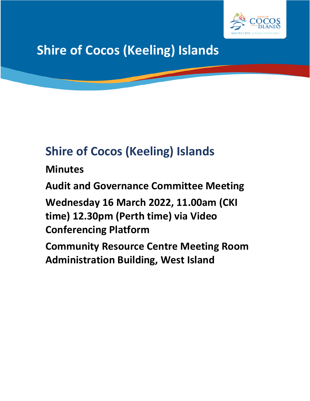

# **Shire of Cocos (Keeling) Islands**

## **Shire of Cocos (Keeling) Islands**

**Minutes**

**Audit and Governance Committee Meeting**

**Wednesday 16 March 2022, 11.00am (CKI time) 12.30pm (Perth time) via Video Conferencing Platform**

**Community Resource Centre Meeting Room Administration Building, West Island**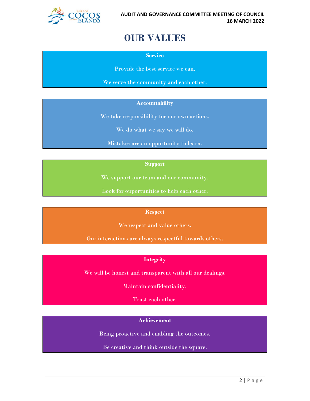

### **OUR VALUES**

**Service**

Provide the best service we can.

We serve the community and each other.

#### **Accountability**

We take responsibility for our own actions.

We do what we say we will do.

Mistakes are an opportunity to learn.

#### **Support**

We support our team and our community.

Look for opportunities to help each other.

#### **Respect**

We respect and value others.

Our interactions are always respectful towards others.

#### **Integrity**

We will be honest and transparent with all our dealings.

Maintain confidentiality.

Trust each other.

#### **Achievement**

Being proactive and enabling the outcomes.

Be creative and think outside the square.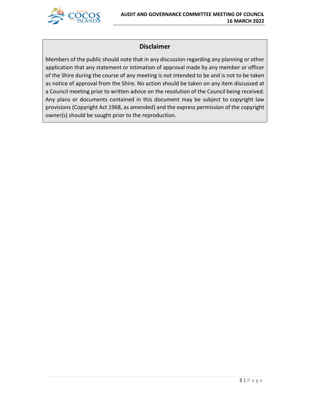

#### **Disclaimer**

Members of the public should note that in any discussion regarding any planning or other application that any statement or intimation of approval made by any member or officer of the Shire during the course of any meeting is not intended to be and is not to be taken as notice of approval from the Shire. No action should be taken on any item discussed at a Council meeting prior to written advice on the resolution of the Council being received. Any plans or documents contained in this document may be subject to copyright law provisions (Copyright Act 1968, as amended) and the express permission of the copyright owner(s) should be sought prior to the reproduction.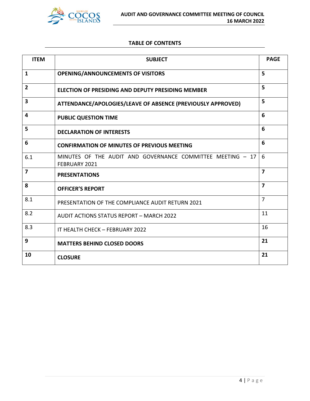

#### **TABLE OF CONTENTS**

| <b>ITEM</b>    | <b>SUBJECT</b>                                                              | <b>PAGE</b>    |
|----------------|-----------------------------------------------------------------------------|----------------|
| $\mathbf{1}$   | <b>OPENING/ANNOUNCEMENTS OF VISITORS</b>                                    | 5              |
| $\overline{2}$ | ELECTION OF PRESIDING AND DEPUTY PRESIDING MEMBER                           | 5              |
| 3              | ATTENDANCE/APOLOGIES/LEAVE OF ABSENCE (PREVIOUSLY APPROVED)                 | 5              |
| 4              | <b>PUBLIC QUESTION TIME</b>                                                 | 6              |
| 5              | <b>DECLARATION OF INTERESTS</b>                                             | 6              |
| 6              | <b>CONFIRMATION OF MINUTES OF PREVIOUS MEETING</b>                          | 6              |
| 6.1            | MINUTES OF THE AUDIT AND GOVERNANCE COMMITTEE MEETING - 17<br>FEBRUARY 2021 | 6              |
| $\overline{7}$ | <b>PRESENTATIONS</b>                                                        | $\overline{7}$ |
| 8              | <b>OFFICER'S REPORT</b>                                                     | $\overline{7}$ |
| 8.1            | PRESENTATION OF THE COMPLIANCE AUDIT RETURN 2021                            | $\overline{7}$ |
| 8.2            | AUDIT ACTIONS STATUS REPORT - MARCH 2022                                    | 11             |
| 8.3            | IT HEALTH CHECK - FEBRUARY 2022                                             | 16             |
| 9              | <b>MATTERS BEHIND CLOSED DOORS</b>                                          | 21             |
| 10             | <b>CLOSURE</b>                                                              | 21             |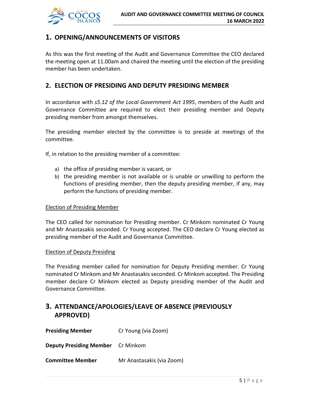

#### **1. OPENING/ANNOUNCEMENTS OF VISITORS**

As this was the first meeting of the Audit and Governance Committee the CEO declared the meeting open at 11.00am and chaired the meeting until the election of the presiding member has been undertaken.

#### **2. ELECTION OF PRESIDING AND DEPUTY PRESIDING MEMBER**

In accordance with *s5.12 of the Local Government Act 1995*, members of the Audit and Governance Committee are required to elect their presiding member and Deputy presiding member from amongst themselves.

The presiding member elected by the committee is to preside at meetings of the committee.

If, in relation to the presiding member of a committee:

- a) the office of presiding member is vacant, or
- b) the presiding member is not available or is unable or unwilling to perform the functions of presiding member, then the deputy presiding member, if any, may perform the functions of presiding member.

#### Election of Presiding Member

The CEO called for nomination for Presiding member. Cr Minkom nominated Cr Young and Mr Anastasakis seconded. Cr Young accepted. The CEO declare Cr Young elected as presiding member of the Audit and Governance Committee.

#### Election of Deputy Presiding

The Presiding member called for nomination for Deputy Presiding member. Cr Young nominated Cr Minkom and Mr Anastasakis seconded. Cr Minkom accepted. The Presiding member declare Cr Minkom elected as Deputy presiding member of the Audit and Governance Committee.

### **3. ATTENDANCE/APOLOGIES/LEAVE OF ABSENCE (PREVIOUSLY APPROVED)**

| <b>Presiding Member</b>                  | Cr Young (via Zoom)       |
|------------------------------------------|---------------------------|
| <b>Deputy Presiding Member</b> Cr Minkom |                           |
| <b>Committee Member</b>                  | Mr Anastasakis (via Zoom) |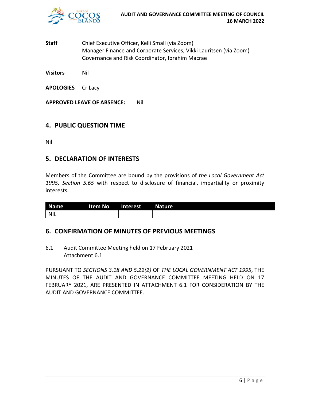

**Staff** Chief Executive Officer, Kelli Small (via Zoom) Manager Finance and Corporate Services, Vikki Lauritsen (via Zoom) Governance and Risk Coordinator, Ibrahim Macrae

**Visitors** Nil

**APOLOGIES** Cr Lacy

**APPROVED LEAVE OF ABSENCE:** Nil

#### **4. PUBLIC QUESTION TIME**

Nil

#### **5. DECLARATION OF INTERESTS**

Members of the Committee are bound by the provisions of *the Local Government Act 1995, Section 5.65* with respect to disclosure of financial, impartiality or proximity interests.

| <b>Name</b> | Item No | Interest | Nature |
|-------------|---------|----------|--------|
| NIL         |         |          |        |

#### **6. CONFIRMATION OF MINUTES OF PREVIOUS MEETINGS**

6.1 Audit Committee Meeting held on 17 February 2021 Attachment 6.1

PURSUANT TO *SECTIONS 3.18 AND 5.22(2)* OF *THE LOCAL GOVERNMENT ACT 1995*, THE MINUTES OF THE AUDIT AND GOVERNANCE COMMITTEE MEETING HELD ON 17 FEBRUARY 2021, ARE PRESENTED IN ATTACHMENT 6.1 FOR CONSIDERATION BY THE AUDIT AND GOVERNANCE COMMITTEE.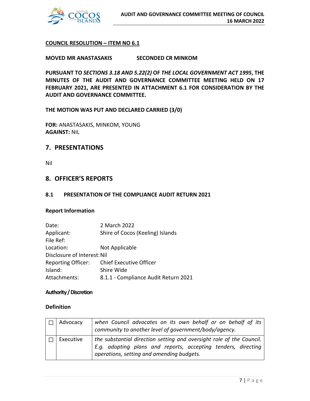

#### **COUNCIL RESOLUTION – ITEM NO 6.1**

**MOVED MR ANASTASAKIS SECONDED CR MINKOM**

**PURSUANT TO** *SECTIONS 3.18 AND 5.22(2)* **OF** *THE LOCAL GOVERNMENT ACT 1995***, THE MINUTES OF THE AUDIT AND GOVERNANCE COMMITTEE MEETING HELD ON 17 FEBRUARY 2021, ARE PRESENTED IN ATTACHMENT 6.1 FOR CONSIDERATION BY THE AUDIT AND GOVERNANCE COMMITTEE.**

#### **THE MOTION WAS PUT AND DECLARED CARRIED (3/0)**

**FOR:** ANASTASAKIS, MINKOM, YOUNG **AGAINST:** NIL

#### **7. PRESENTATIONS**

Nil

#### **8. OFFICER'S REPORTS**

#### **8.1 PRESENTATION OF THE COMPLIANCE AUDIT RETURN 2021**

#### **Report Information**

| Date:                       | 2 March 2022                         |
|-----------------------------|--------------------------------------|
| Applicant:                  | Shire of Cocos (Keeling) Islands     |
| File Ref:                   |                                      |
| Location:                   | Not Applicable                       |
| Disclosure of Interest: Nil |                                      |
| <b>Reporting Officer:</b>   | Chief Executive Officer              |
| Island:                     | Shire Wide                           |
| Attachments:                | 8.1.1 - Compliance Audit Return 2021 |

#### **Authority / Discretion**

#### **Definition**

| Advocacy  | when Council advocates on its own behalf or on behalf of its<br>community to another level of government/body/agency.                                                              |
|-----------|------------------------------------------------------------------------------------------------------------------------------------------------------------------------------------|
| Executive | the substantial direction setting and oversight role of the Council.<br>E.g. adopting plans and reports, accepting tenders, directing<br>operations, setting and amending budgets. |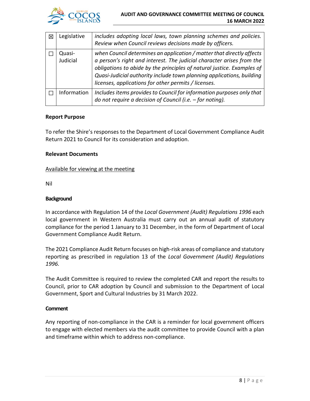

| ⊠ | Legislative        | includes adopting local laws, town planning schemes and policies.<br>Review when Council reviews decisions made by officers.                                                                                                                                                                                                                              |
|---|--------------------|-----------------------------------------------------------------------------------------------------------------------------------------------------------------------------------------------------------------------------------------------------------------------------------------------------------------------------------------------------------|
|   | Quasi-<br>Judicial | when Council determines an application / matter that directly affects<br>a person's right and interest. The judicial character arises from the<br>obligations to abide by the principles of natural justice. Examples of<br>Quasi-Judicial authority include town planning applications, building<br>licenses, applications for other permits / licenses. |
|   | Information        | Includes items provides to Council for information purposes only that<br>do not require a decision of Council (i.e. $-$ for noting).                                                                                                                                                                                                                      |

#### **Report Purpose**

To refer the Shire's responses to the Department of Local Government Compliance Audit Return 2021 to Council for its consideration and adoption.

#### **Relevant Documents**

#### Available for viewing at the meeting

Nil

#### **Background**

In accordance with Regulation 14 of the *Local Government (Audit) Regulations 1996* each local government in Western Australia must carry out an annual audit of statutory compliance for the period 1 January to 31 December, in the form of Department of Local Government Compliance Audit Return.

The 2021 Compliance Audit Return focuses on high-risk areas of compliance and statutory reporting as prescribed in regulation 13 of the *Local Government (Audit) Regulations 1996.*

The Audit Committee is required to review the completed CAR and report the results to Council, prior to CAR adoption by Council and submission to the Department of Local Government, Sport and Cultural Industries by 31 March 2022.

#### **Comment**

Any reporting of non-compliance in the CAR is a reminder for local government officers to engage with elected members via the audit committee to provide Council with a plan and timeframe within which to address non-compliance.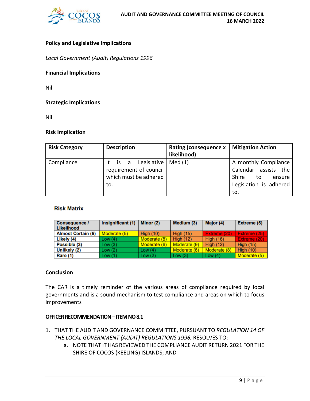

#### **Policy and Legislative Implications**

*Local Government (Audit) Regulations 1996*

#### **Financial Implications**

Nil

#### **Strategic Implications**

Nil

#### **Risk Implication**

| <b>Risk Category</b> | <b>Description</b>                                                                        | Rating (consequence x<br>likelihood) | <b>Mitigation Action</b>                                                                               |
|----------------------|-------------------------------------------------------------------------------------------|--------------------------------------|--------------------------------------------------------------------------------------------------------|
| Compliance           | It is a Legislative   Med $(1)$<br>requirement of council<br>which must be adhered<br>to. |                                      | A monthly Compliance<br>Calendar assists the<br>Shire<br>to<br>ensure<br>Legislation is adhered<br>to. |

#### **Risk Matrix**

| Consequence /<br>Likelihood | Insignificant (1) | Minor (2)        | Medium (3)       | Major (4)        | Extreme (5)         |
|-----------------------------|-------------------|------------------|------------------|------------------|---------------------|
| <b>Almost Certain (5)</b>   | Moderate (5)      | <b>High (10)</b> | <b>High (15)</b> | Extreme (20)     | <b>Extreme (25)</b> |
| Likely (4)                  | Low(4)            | Moderate (8)     | <b>High (12)</b> | <b>High (16)</b> | Extreme (20)        |
| Possible (3)                | Low(3)            | Moderate (6)     | Moderate (9)     | <b>High (12)</b> | <b>High (15)</b>    |
| Unlikely (2)                | Low (2)           | Low $(4)$        | Moderate (6)     | Moderate (8)     | High $(10)$         |
| Rare (1)                    | Low (1)           | Low(2)           | Low $(3)$        | Low $(4)$        | Moderate (5)        |

#### **Conclusion**

The CAR is a timely reminder of the various areas of compliance required by local governments and is a sound mechanism to test compliance and areas on which to focus improvements

#### **OFFICER RECOMMENDATION–ITEM NO 8.1**

- 1. THAT THE AUDIT AND GOVERNANCE COMMITTEE, PURSUANT TO *REGULATION 14 OF THE LOCAL GOVERNMENT (AUDIT) REGULATIONS 1996,* RESOLVES TO:
	- a. NOTE THAT IT HAS REVIEWED THE COMPLIANCE AUDIT RETURN 2021 FOR THE SHIRE OF COCOS (KEELING) ISLANDS; AND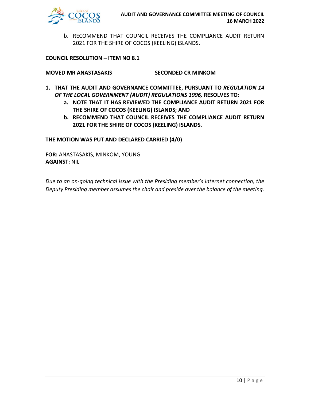

b. RECOMMEND THAT COUNCIL RECEIVES THE COMPLIANCE AUDIT RETURN 2021 FOR THE SHIRE OF COCOS (KEELING) ISLANDS.

#### **COUNCIL RESOLUTION – ITEM NO 8.1**

**MOVED MR ANASTASAKIS SECONDED CR MINKOM**

- **1. THAT THE AUDIT AND GOVERNANCE COMMITTEE, PURSUANT TO** *REGULATION 14 OF THE LOCAL GOVERNMENT (AUDIT) REGULATIONS 1996,* **RESOLVES TO:**
	- **a. NOTE THAT IT HAS REVIEWED THE COMPLIANCE AUDIT RETURN 2021 FOR THE SHIRE OF COCOS (KEELING) ISLANDS; AND**
	- **b. RECOMMEND THAT COUNCIL RECEIVES THE COMPLIANCE AUDIT RETURN 2021 FOR THE SHIRE OF COCOS (KEELING) ISLANDS.**

**THE MOTION WAS PUT AND DECLARED CARRIED (4/0)**

**FOR:** ANASTASAKIS, MINKOM, YOUNG **AGAINST:** NIL

*Due to an on-going technical issue with the Presiding member's internet connection, the Deputy Presiding member assumes the chair and preside over the balance of the meeting.*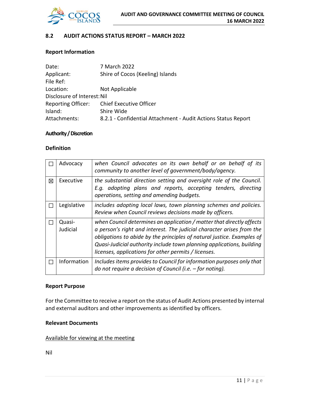

#### **8.2 AUDIT ACTIONS STATUS REPORT – MARCH 2022**

#### **Report Information**

| Date:                       | 7 March 2022                                                  |
|-----------------------------|---------------------------------------------------------------|
| Applicant:                  | Shire of Cocos (Keeling) Islands                              |
| File Ref:                   |                                                               |
| Location:                   | Not Applicable                                                |
| Disclosure of Interest: Nil |                                                               |
| <b>Reporting Officer:</b>   | <b>Chief Executive Officer</b>                                |
| Island:                     | Shire Wide                                                    |
| Attachments:                | 8.2.1 - Confidential Attachment - Audit Actions Status Report |

#### **Authority / Discretion**

#### **Definition**

|   | Advocacy           | when Council advocates on its own behalf or on behalf of its<br>community to another level of government/body/agency.                                                                                                                                                                                                                                     |
|---|--------------------|-----------------------------------------------------------------------------------------------------------------------------------------------------------------------------------------------------------------------------------------------------------------------------------------------------------------------------------------------------------|
| 冈 | Executive          | the substantial direction setting and oversight role of the Council.<br>E.g. adopting plans and reports, accepting tenders, directing<br>operations, setting and amending budgets.                                                                                                                                                                        |
|   | Legislative        | includes adopting local laws, town planning schemes and policies.<br>Review when Council reviews decisions made by officers.                                                                                                                                                                                                                              |
|   | Quasi-<br>Judicial | when Council determines an application / matter that directly affects<br>a person's right and interest. The judicial character arises from the<br>obligations to abide by the principles of natural justice. Examples of<br>Quasi-Judicial authority include town planning applications, building<br>licenses, applications for other permits / licenses. |
|   | Information        | Includes items provides to Council for information purposes only that<br>do not require a decision of Council (i.e. $-$ for noting).                                                                                                                                                                                                                      |

#### **Report Purpose**

For the Committee to receive a report on the status of Audit Actions presented by internal and external auditors and other improvements as identified by officers.

#### **Relevant Documents**

#### Available for viewing at the meeting

Nil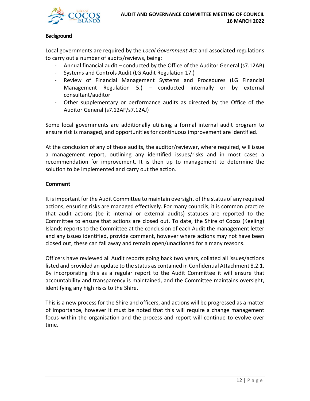

#### **Background**

Local governments are required by the *Local Government Act* and associated regulations to carry out a number of audits/reviews, being:

- Annual financial audit conducted by the Office of the Auditor General (s7.12AB)
- Systems and Controls Audit (LG Audit Regulation 17.)
- Review of Financial Management Systems and Procedures (LG Financial Management Regulation 5.) – conducted internally or by external consultant/auditor
- Other supplementary or performance audits as directed by the Office of the Auditor General (s7.12AF/s7.12AJ)

Some local governments are additionally utilising a formal internal audit program to ensure risk is managed, and opportunities for continuous improvement are identified.

At the conclusion of any of these audits, the auditor/reviewer, where required, will issue a management report, outlining any identified issues/risks and in most cases a recommendation for improvement. It is then up to management to determine the solution to be implemented and carry out the action.

#### **Comment**

It is important for the Audit Committee to maintain oversight of the status of any required actions, ensuring risks are managed effectively. For many councils, it is common practice that audit actions (be it internal or external audits) statuses are reported to the Committee to ensure that actions are closed out. To date, the Shire of Cocos (Keeling) Islands reports to the Committee at the conclusion of each Audit the management letter and any issues identified, provide comment, however where actions may not have been closed out, these can fall away and remain open/unactioned for a many reasons.

Officers have reviewed all Audit reports going back two years, collated all issues/actions listed and provided an update to the status as contained in Confidential Attachment 8.2.1. By incorporating this as a regular report to the Audit Committee it will ensure that accountability and transparency is maintained, and the Committee maintains oversight, identifying any high risks to the Shire.

This is a new process for the Shire and officers, and actions will be progressed as a matter of importance, however it must be noted that this will require a change management focus within the organisation and the process and report will continue to evolve over time.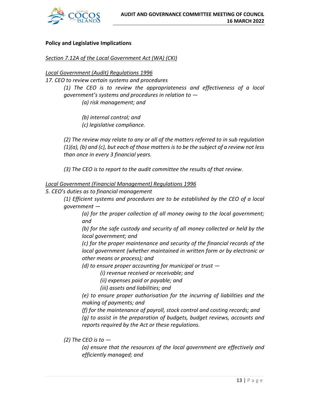

#### **Policy and Legislative Implications**

#### *Section 7.12A of the Local Government Act (WA) (CKI)*

#### *Local Government (Audit) Regulations 1996*

*17. CEO to review certain systems and procedures* 

*(1) The CEO is to review the appropriateness and effectiveness of a local government's systems and procedures in relation to —*

*(a) risk management; and* 

*(b) internal control; and (c) legislative compliance.* 

*(2) The review may relate to any or all of the matters referred to in sub regulation (1)(a), (b) and (c), but each of those matters is to be the subject of a review not less than once in every 3 financial years.*

*(3) The CEO is to report to the audit committee the results of that review.*

#### *Local Government (Financial Management) Regulations 1996*

*5. CEO's duties as to financial management* 

*(1) Efficient systems and procedures are to be established by the CEO of a local government —*

*(a) for the proper collection of all money owing to the local government; and* 

*(b) for the safe custody and security of all money collected or held by the local government; and* 

*(c) for the proper maintenance and security of the financial records of the local government (whether maintained in written form or by electronic or other means or process); and* 

*(d) to ensure proper accounting for municipal or trust —*

*(i) revenue received or receivable; and* 

*(ii) expenses paid or payable; and* 

*(iii) assets and liabilities; and* 

*(e) to ensure proper authorisation for the incurring of liabilities and the making of payments; and* 

*(f) for the maintenance of payroll, stock control and costing records; and (g) to assist in the preparation of budgets, budget reviews, accounts and reports required by the Act or these regulations.*

*(2) The CEO is to —*

*(a) ensure that the resources of the local government are effectively and efficiently managed; and*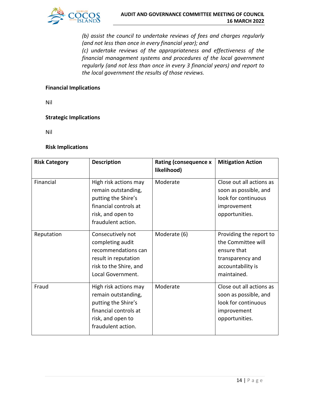

*(b) assist the council to undertake reviews of fees and charges regularly (and not less than once in every financial year); and* 

*(c) undertake reviews of the appropriateness and effectiveness of the financial management systems and procedures of the local government regularly (and not less than once in every 3 financial years) and report to the local government the results of those reviews.*

#### **Financial Implications**

Nil

#### **Strategic Implications**

Nil

#### **Risk Implications**

| <b>Risk Category</b> | <b>Description</b>                                                                                                                      | <b>Rating (consequence x</b><br>likelihood) | <b>Mitigation Action</b>                                                                                             |
|----------------------|-----------------------------------------------------------------------------------------------------------------------------------------|---------------------------------------------|----------------------------------------------------------------------------------------------------------------------|
| Financial            | High risk actions may<br>remain outstanding,<br>putting the Shire's<br>financial controls at<br>risk, and open to<br>fraudulent action. | Moderate                                    | Close out all actions as<br>soon as possible, and<br>look for continuous<br>improvement<br>opportunities.            |
| Reputation           | Consecutively not<br>completing audit<br>recommendations can<br>result in reputation<br>risk to the Shire, and<br>Local Government.     | Moderate (6)                                | Providing the report to<br>the Committee will<br>ensure that<br>transparency and<br>accountability is<br>maintained. |
| Fraud                | High risk actions may<br>remain outstanding,<br>putting the Shire's<br>financial controls at<br>risk, and open to<br>fraudulent action. | Moderate                                    | Close out all actions as<br>soon as possible, and<br>look for continuous<br>improvement<br>opportunities.            |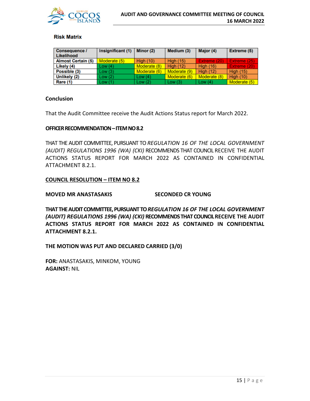

#### **Risk Matrix**

| <b>Consequence /</b><br>Likelihood | Insignificant (1) | Minor (2)        | Medium (3)       | Major (4)        | Extreme (5)      |
|------------------------------------|-------------------|------------------|------------------|------------------|------------------|
| <b>Almost Certain (5)</b>          | Moderate (5)      | <b>High (10)</b> | <b>High (15)</b> | Extreme (20)     | Extreme (25)     |
| Likely (4)                         | Low(4)            | Moderate (8)     | <b>High (12)</b> | <b>High (16)</b> | Extreme (20)     |
| Possible (3)                       | Low(3)            | Moderate (6)     | Moderate (9)     | High $(12)$      | <b>High (15)</b> |
| <b>Unlikely (2)</b>                | Low(2)            | Low $(4)$        | Moderate (6)     | Moderate (8)     | <b>High (10)</b> |
| Rare (1)                           | Low(1)            | Low(2)           | Low $(3)$        | Low $(4)$        | Moderate (5)     |

#### **Conclusion**

That the Audit Committee receive the Audit Actions Status report for March 2022.

#### **OFFICER RECOMMENDATION – ITEM NO 8.2**

THAT THE AUDIT COMMITTEE, PURSUANT TO *REGULATION 16 OF THE LOCAL GOVERNMENT (AUDIT) REGULATIONS 1996 (WA) (CKI)* RECOMMENDS THAT COUNCIL RECEIVE THE AUDIT ACTIONS STATUS REPORT FOR MARCH 2022 AS CONTAINED IN CONFIDENTIAL ATTACHMENT 8.2.1.

#### **COUNCIL RESOLUTION – ITEM NO 8.2**

#### **MOVED MR ANASTASAKIS SECONDED CR YOUNG**

**THAT THE AUDIT COMMITTEE, PURSUANT TO** *REGULATION 16 OF THE LOCAL GOVERNMENT (AUDIT) REGULATIONS 1996 (WA) (CKI)* **RECOMMENDS THAT COUNCILRECEIVE THE AUDIT ACTIONS STATUS REPORT FOR MARCH 2022 AS CONTAINED IN CONFIDENTIAL ATTACHMENT 8.2.1.**

**THE MOTION WAS PUT AND DECLARED CARRIED (3/0)**

**FOR:** ANASTASAKIS, MINKOM, YOUNG **AGAINST:** NIL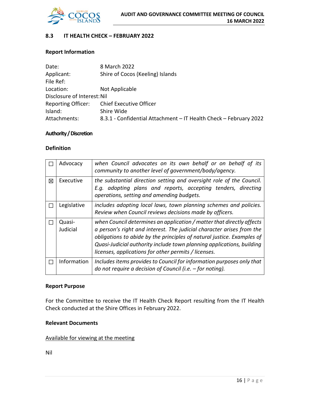

#### **8.3 IT HEALTH CHECK – FEBRUARY 2022**

#### **Report Information**

| Date:                       | 8 March 2022                                                      |
|-----------------------------|-------------------------------------------------------------------|
| Applicant:                  | Shire of Cocos (Keeling) Islands                                  |
| File Ref:                   |                                                                   |
| Location:                   | Not Applicable                                                    |
| Disclosure of Interest: Nil |                                                                   |
| <b>Reporting Officer:</b>   | <b>Chief Executive Officer</b>                                    |
| Island:                     | Shire Wide                                                        |
| Attachments:                | 8.3.1 - Confidential Attachment - IT Health Check - February 2022 |

#### **Authority / Discretion**

#### **Definition**

|   | Advocacy           | when Council advocates on its own behalf or on behalf of its<br>community to another level of government/body/agency.                                                                                                                                                                                                                                     |
|---|--------------------|-----------------------------------------------------------------------------------------------------------------------------------------------------------------------------------------------------------------------------------------------------------------------------------------------------------------------------------------------------------|
| 冈 | Executive          | the substantial direction setting and oversight role of the Council.<br>E.g. adopting plans and reports, accepting tenders, directing<br>operations, setting and amending budgets.                                                                                                                                                                        |
|   | Legislative        | includes adopting local laws, town planning schemes and policies.<br>Review when Council reviews decisions made by officers.                                                                                                                                                                                                                              |
|   | Quasi-<br>Judicial | when Council determines an application / matter that directly affects<br>a person's right and interest. The judicial character arises from the<br>obligations to abide by the principles of natural justice. Examples of<br>Quasi-Judicial authority include town planning applications, building<br>licenses, applications for other permits / licenses. |
|   | Information        | Includes items provides to Council for information purposes only that<br>do not require a decision of Council (i.e. $-$ for noting).                                                                                                                                                                                                                      |

#### **Report Purpose**

For the Committee to receive the IT Health Check Report resulting from the IT Health Check conducted at the Shire Offices in February 2022.

#### **Relevant Documents**

#### Available for viewing at the meeting

Nil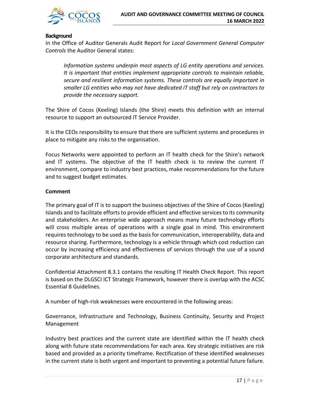

#### **Background**

In the Office of Auditor Generals Audit Report for *Local Government General Computer Controls* the Auditor General states:

*Information systems underpin most aspects of LG entity operations and services. It is important that entities implement appropriate controls to maintain reliable, secure and resilient information systems. These controls are equally important in smaller LG entities who may not have dedicated IT staff but rely on contractors to provide the necessary support.*

The Shire of Cocos (Keeling) Islands (the Shire) meets this definition with an internal resource to support an outsourced IT Service Provider.

It is the CEOs responsibility to ensure that there are sufficient systems and procedures in place to mitigate any risks to the organisation.

Focus Networks were appointed to perform an IT health check for the Shire's network and IT systems. The objective of the IT health check is to review the current IT environment, compare to industry best practices, make recommendations for the future and to suggest budget estimates.

#### **Comment**

The primary goal of IT is to support the business objectives of the Shire of Cocos (Keeling) Islands and to facilitate efforts to provide efficient and effective services to its community and stakeholders. An enterprise wide approach means many future technology efforts will cross multiple areas of operations with a single goal in mind. This environment requires technology to be used as the basis for communication, interoperability, data and resource sharing. Furthermore, technology is a vehicle through which cost reduction can occur by increasing efficiency and effectiveness of services through the use of a sound corporate architecture and standards.

Confidential Attachment 8.3.1 contains the resulting IT Health Check Report. This report is based on the DLGSCI ICT Strategic Framework, however there is overlap with the ACSC Essential 8 Guidelines.

A number of high-risk weaknesses were encountered in the following areas:

Governance, Infrastructure and Technology, Business Continuity, Security and Project Management

Industry best practices and the current state are identified within the IT health check along with future state recommendations for each area. Key strategic initiatives are risk based and provided as a priority timeframe. Rectification of these identified weaknesses in the current state is both urgent and important to preventing a potential future failure.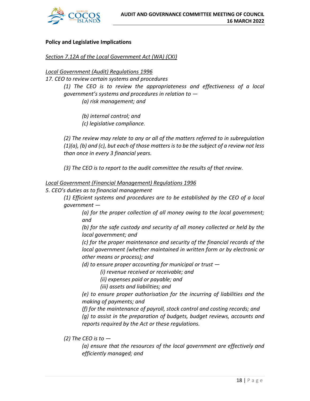

#### **Policy and Legislative Implications**

#### *Section 7.12A of the Local Government Act (WA) (CKI)*

#### *Local Government (Audit) Regulations 1996*

*17. CEO to review certain systems and procedures* 

*(1) The CEO is to review the appropriateness and effectiveness of a local government's systems and procedures in relation to —*

*(a) risk management; and* 

*(b) internal control; and* 

*(c) legislative compliance.* 

*(2) The review may relate to any or all of the matters referred to in subregulation (1)(a), (b) and (c), but each of those matters is to be the subject of a review not less than once in every 3 financial years.*

*(3) The CEO is to report to the audit committee the results of that review.*

#### *Local Government (Financial Management) Regulations 1996*

*5. CEO's duties as to financial management* 

*(1) Efficient systems and procedures are to be established by the CEO of a local government —*

*(a) for the proper collection of all money owing to the local government; and* 

*(b) for the safe custody and security of all money collected or held by the local government; and* 

*(c) for the proper maintenance and security of the financial records of the local government (whether maintained in written form or by electronic or other means or process); and* 

*(d) to ensure proper accounting for municipal or trust —*

*(i) revenue received or receivable; and* 

*(ii) expenses paid or payable; and* 

*(iii) assets and liabilities; and* 

*(e) to ensure proper authorisation for the incurring of liabilities and the making of payments; and* 

*(f) for the maintenance of payroll, stock control and costing records; and (g) to assist in the preparation of budgets, budget reviews, accounts and reports required by the Act or these regulations.*

*(2) The CEO is to —*

*(a) ensure that the resources of the local government are effectively and efficiently managed; and*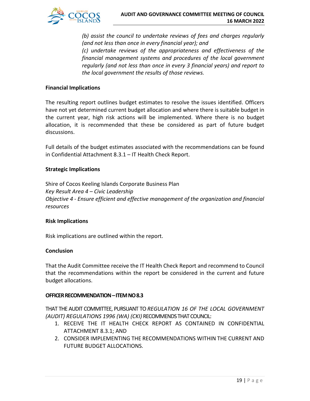

*(b) assist the council to undertake reviews of fees and charges regularly (and not less than once in every financial year); and (c) undertake reviews of the appropriateness and effectiveness of the financial management systems and procedures of the local government regularly (and not less than once in every 3 financial years) and report to the local government the results of those reviews.*

#### **Financial Implications**

The resulting report outlines budget estimates to resolve the issues identified. Officers have not yet determined current budget allocation and where there is suitable budget in the current year, high risk actions will be implemented. Where there is no budget allocation, it is recommended that these be considered as part of future budget discussions.

Full details of the budget estimates associated with the recommendations can be found in Confidential Attachment 8.3.1 – IT Health Check Report.

#### **Strategic Implications**

Shire of Cocos Keeling Islands Corporate Business Plan *Key Result Area 4 – Civic Leadership Objective 4 - Ensure efficient and effective management of the organization and financial resources*

#### **Risk Implications**

Risk implications are outlined within the report.

#### **Conclusion**

That the Audit Committee receive the IT Health Check Report and recommend to Council that the recommendations within the report be considered in the current and future budget allocations.

#### **OFFICER RECOMMENDATION–ITEM NO 8.3**

THAT THE AUDIT COMMITTEE, PURSUANT TO *REGULATION 16 OF THE LOCAL GOVERNMENT (AUDIT) REGULATIONS 1996 (WA) (CKI)* RECOMMENDS THAT COUNCIL:

- 1. RECEIVE THE IT HEALTH CHECK REPORT AS CONTAINED IN CONFIDENTIAL ATTACHMENT 8.3.1; AND
- 2. CONSIDER IMPLEMENTING THE RECOMMENDATIONS WITHIN THE CURRENT AND FUTURE BUDGET ALLOCATIONS.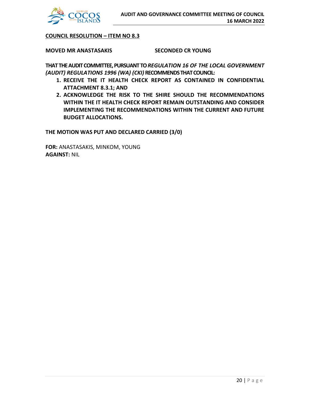

**COUNCIL RESOLUTION – ITEM NO 8.3**

**MOVED MR ANASTASAKIS SECONDED CR YOUNG**

**THAT THE AUDIT COMMITTEE, PURSUANT TO** *REGULATION 16 OF THE LOCAL GOVERNMENT (AUDIT) REGULATIONS 1996 (WA) (CKI)* **RECOMMENDS THAT COUNCIL:**

- **1. RECEIVE THE IT HEALTH CHECK REPORT AS CONTAINED IN CONFIDENTIAL ATTACHMENT 8.3.1; AND**
- **2. ACKNOWLEDGE THE RISK TO THE SHIRE SHOULD THE RECOMMENDATIONS WITHIN THE IT HEALTH CHECK REPORT REMAIN OUTSTANDING AND CONSIDER IMPLEMENTING THE RECOMMENDATIONS WITHIN THE CURRENT AND FUTURE BUDGET ALLOCATIONS.**

**THE MOTION WAS PUT AND DECLARED CARRIED (3/0)**

**FOR:** ANASTASAKIS, MINKOM, YOUNG **AGAINST:** NIL